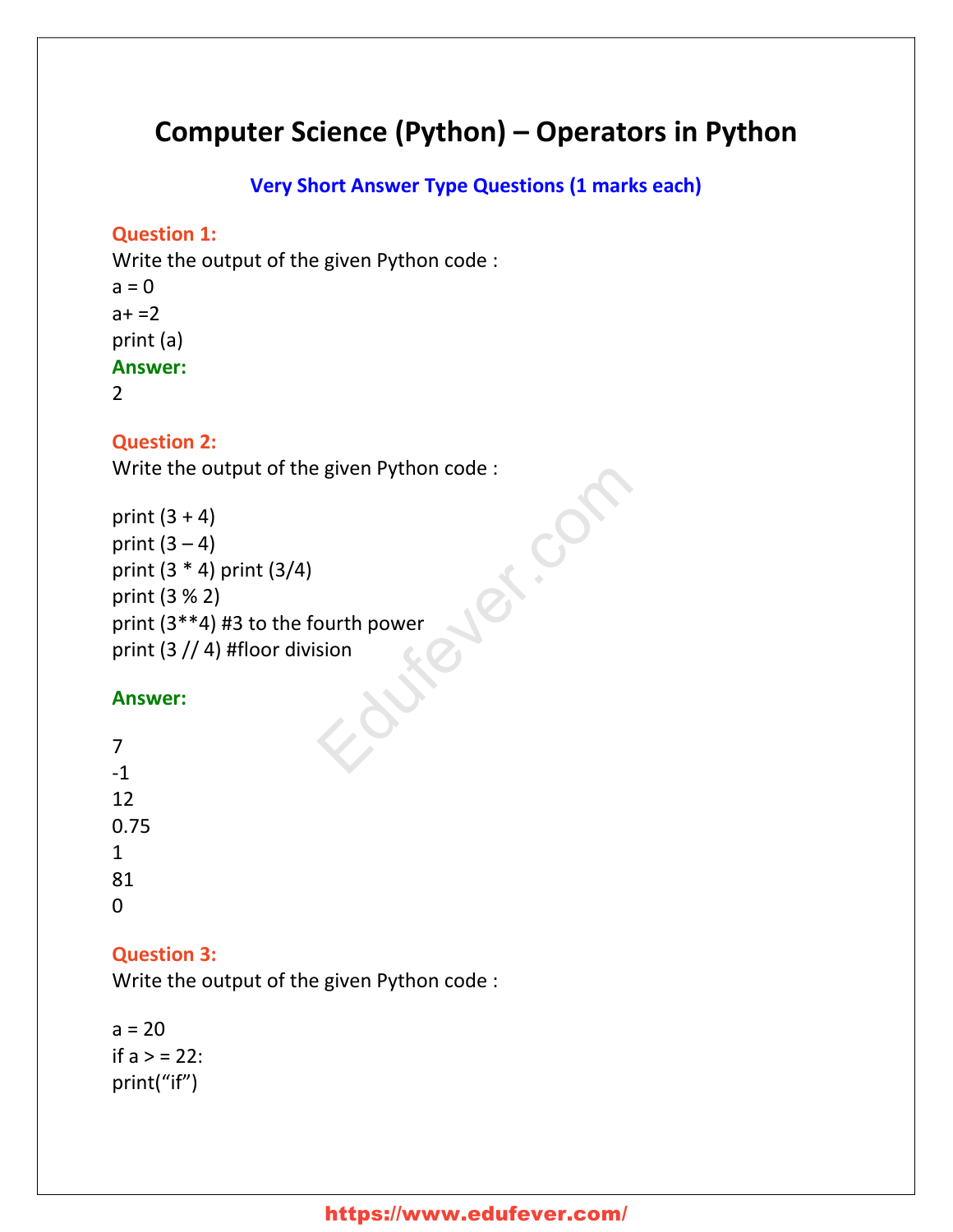## **Computer Science (Python) – Operators in Python**

**Very Short Answer Type Questions (1 marks each)**

#### **Question 1:**

Write the output of the given Python code :  $a = 0$  $a + 2$ print (a) **Answer:** 2

#### **Question 2:**

Write the output of the given Python code : Education

```
print (3 + 4)print (3-4)print (3 * 4) print (3/4)
print (3 % 2)
print (3**4) #3 to the fourth power
print (3 // 4) #floor division
```
#### **Answer:**

| 7           |  |  |
|-------------|--|--|
| $-1$        |  |  |
| 12          |  |  |
| 0.75        |  |  |
| $\mathbf 1$ |  |  |
| 81          |  |  |
| 0           |  |  |

### **Question 3:**

Write the output of the given Python code :

 $a = 20$ if  $a > 22$ : print("if")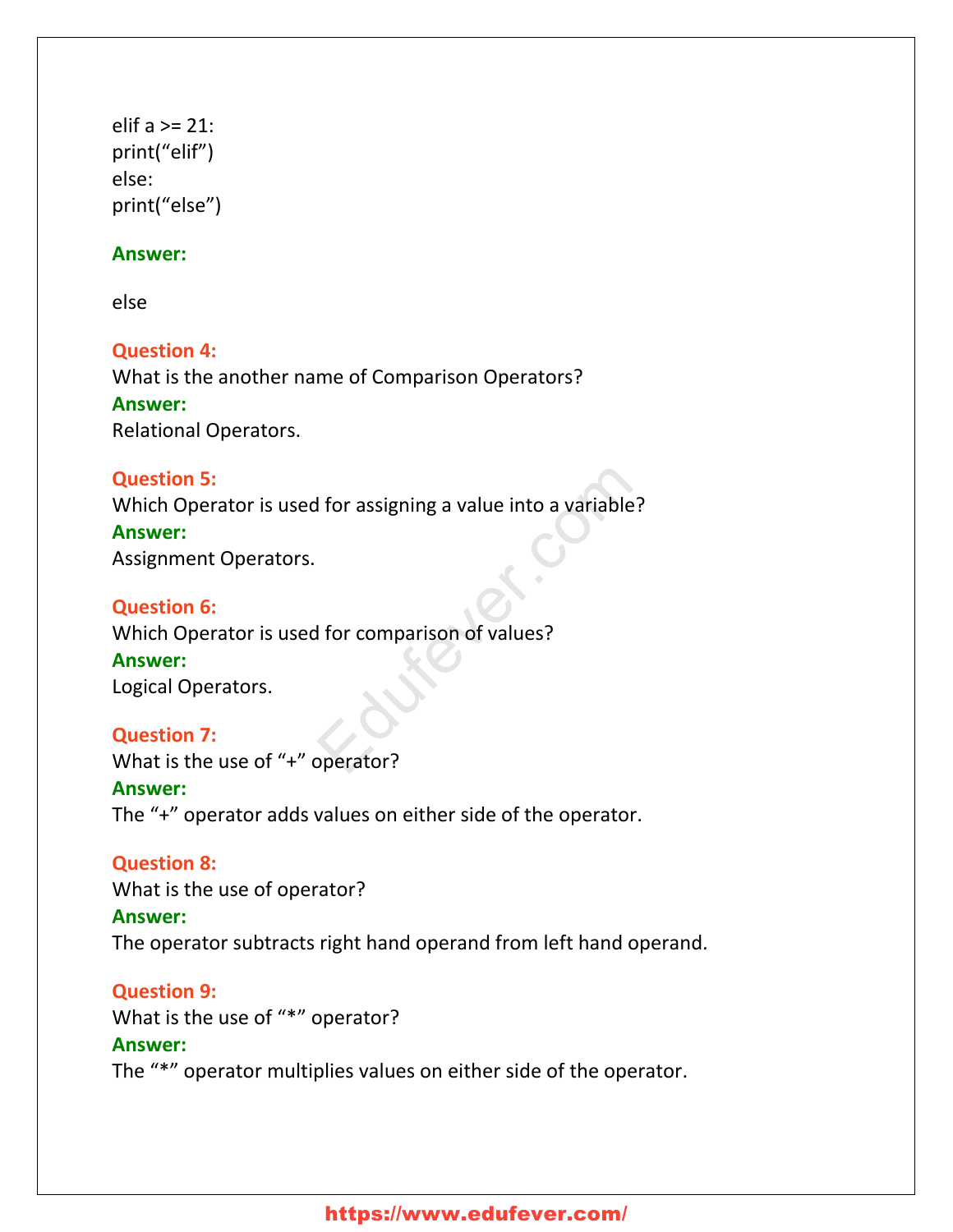elif a >= 21: print("elif") else: print("else")

#### **Answer:**

else

**Question 4:** What is the another name of Comparison Operators? **Answer:** Relational Operators.

# **Question 5:** Which Operator is used for assigning a value into a variable? **Answer:** Assignment Operators. I for assigning a value into a variable?<br>
I for comparison of values?<br>
Preciser?

#### **Question 6:** Which Operator is used for comparison of values? **Answer:** Logical Operators.

**Question 7:** What is the use of "+" operator? **Answer:** The "+" operator adds values on either side of the operator.

**Question 8:** What is the use of operator? **Answer:** The operator subtracts right hand operand from left hand operand.

**Question 9:** What is the use of "\*" operator? **Answer:** The "\*" operator multiplies values on either side of the operator.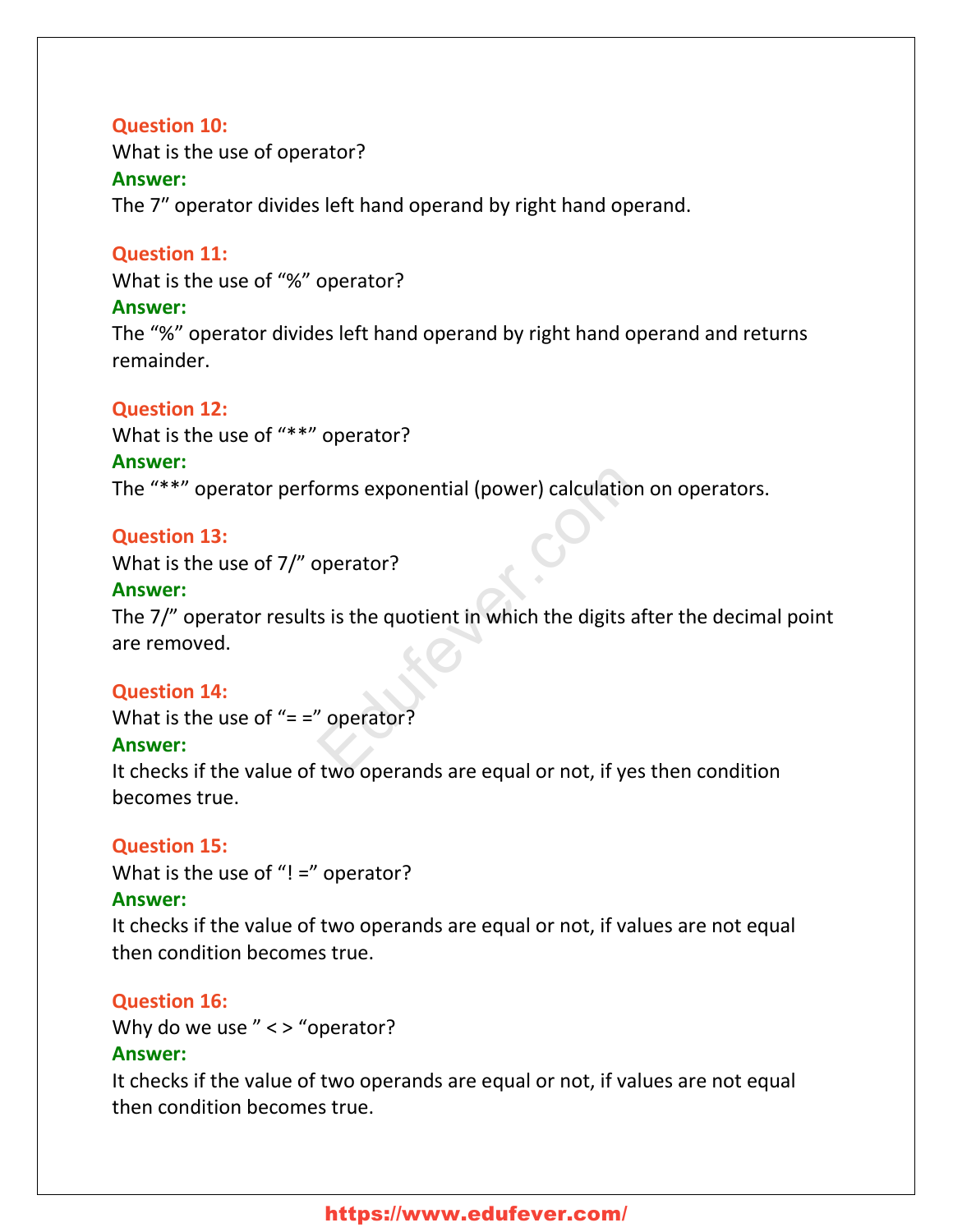#### **Question 10:**

What is the use of operator?

#### **Answer:**

The 7″ operator divides left hand operand by right hand operand.

#### **Question 11:**

What is the use of "%" operator?

#### **Answer:**

The "%" operator divides left hand operand by right hand operand and returns remainder.

#### **Question 12:**

What is the use of "\*\*" operator?

#### **Answer:**

The "\*\*" operator performs exponential (power) calculation on operators.

#### **Question 13:**

What is the use of 7/" operator?

#### **Answer:**

The 7/" operator results is the quotient in which the digits after the decimal point are removed. orms exponential (power) calculation of<br>
spectral comparations is the quotient in which the digits aft<br>
properator?<br>
Two operands are equal or not if yes if

#### **Question 14:**

What is the use of " $=$  =" operator?

#### **Answer:**

It checks if the value of two operands are equal or not, if yes then condition becomes true.

#### **Question 15:**

What is the use of "! =" operator?

#### **Answer:**

It checks if the value of two operands are equal or not, if values are not equal then condition becomes true.

#### **Question 16:**

Why do we use  $"$  < > "operator? **Answer:**

It checks if the value of two operands are equal or not, if values are not equal then condition becomes true.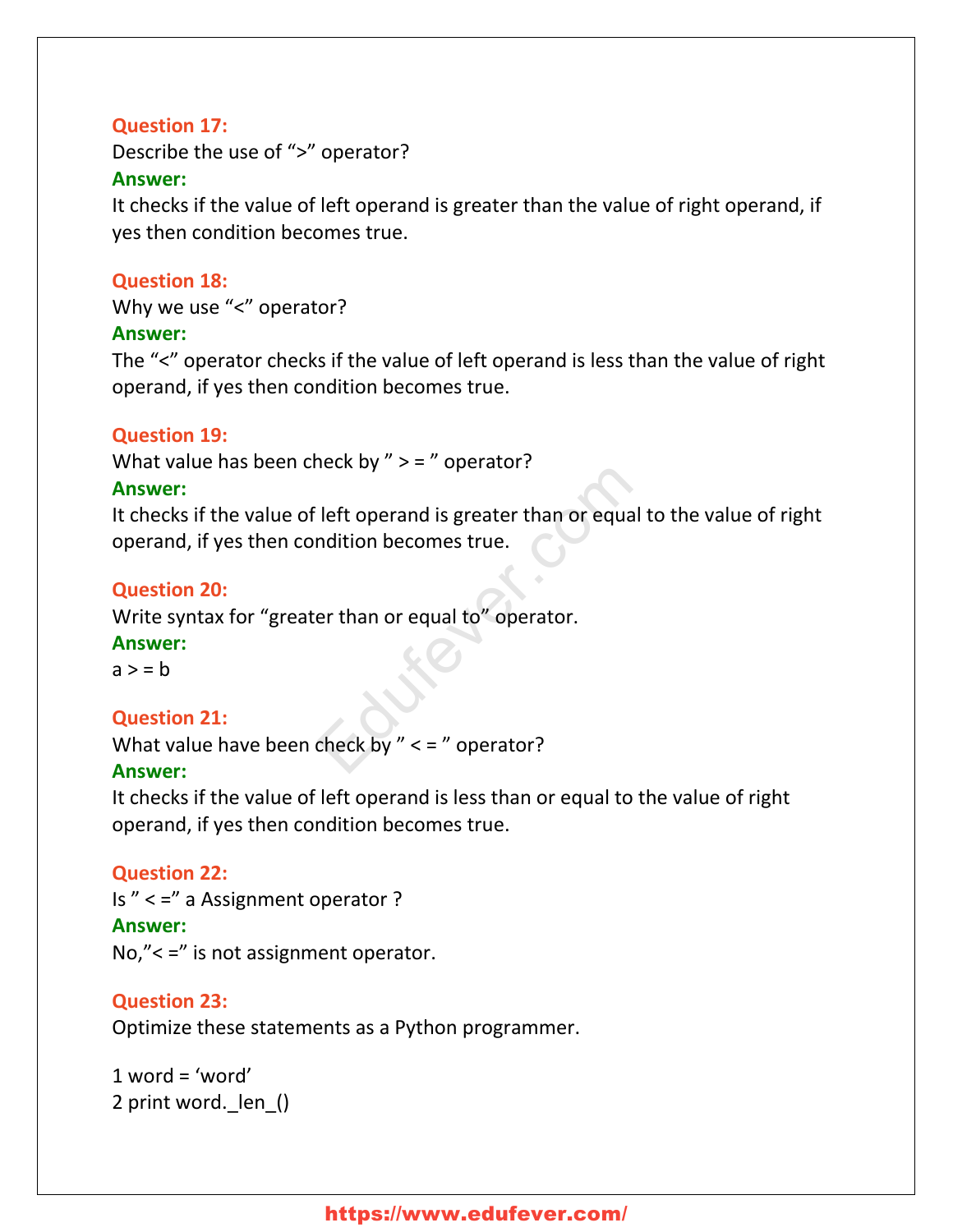#### **Question 17:**

Describe the use of ">" operator? **Answer:**

It checks if the value of left operand is greater than the value of right operand, if yes then condition becomes true.

#### **Question 18:**

Why we use "<" operator?

#### **Answer:**

The "<" operator checks if the value of left operand is less than the value of right operand, if yes then condition becomes true.

#### **Question 19:**

What value has been check by "  $>$  = " operator?

#### **Answer:**

It checks if the value of left operand is greater than or equal to the value of right operand, if yes then condition becomes true. Left operand is greater than or equal to<br>midition becomes true.<br>The than or equal to "operator.<br>Check by "  $\lt$  = " operator?

#### **Question 20:**

Write syntax for "greater than or equal to" operator.

#### **Answer:**

 $a > b$ 

#### **Question 21:**

What value have been check by  $"$  < = " operator?

#### **Answer:**

It checks if the value of left operand is less than or equal to the value of right operand, if yes then condition becomes true.

#### **Question 22:**

Is " < =" a Assignment operator ? **Answer:** No,"< =" is not assignment operator.

#### **Question 23:**

Optimize these statements as a Python programmer.

 $1$  word = 'word' 2 print word. len ()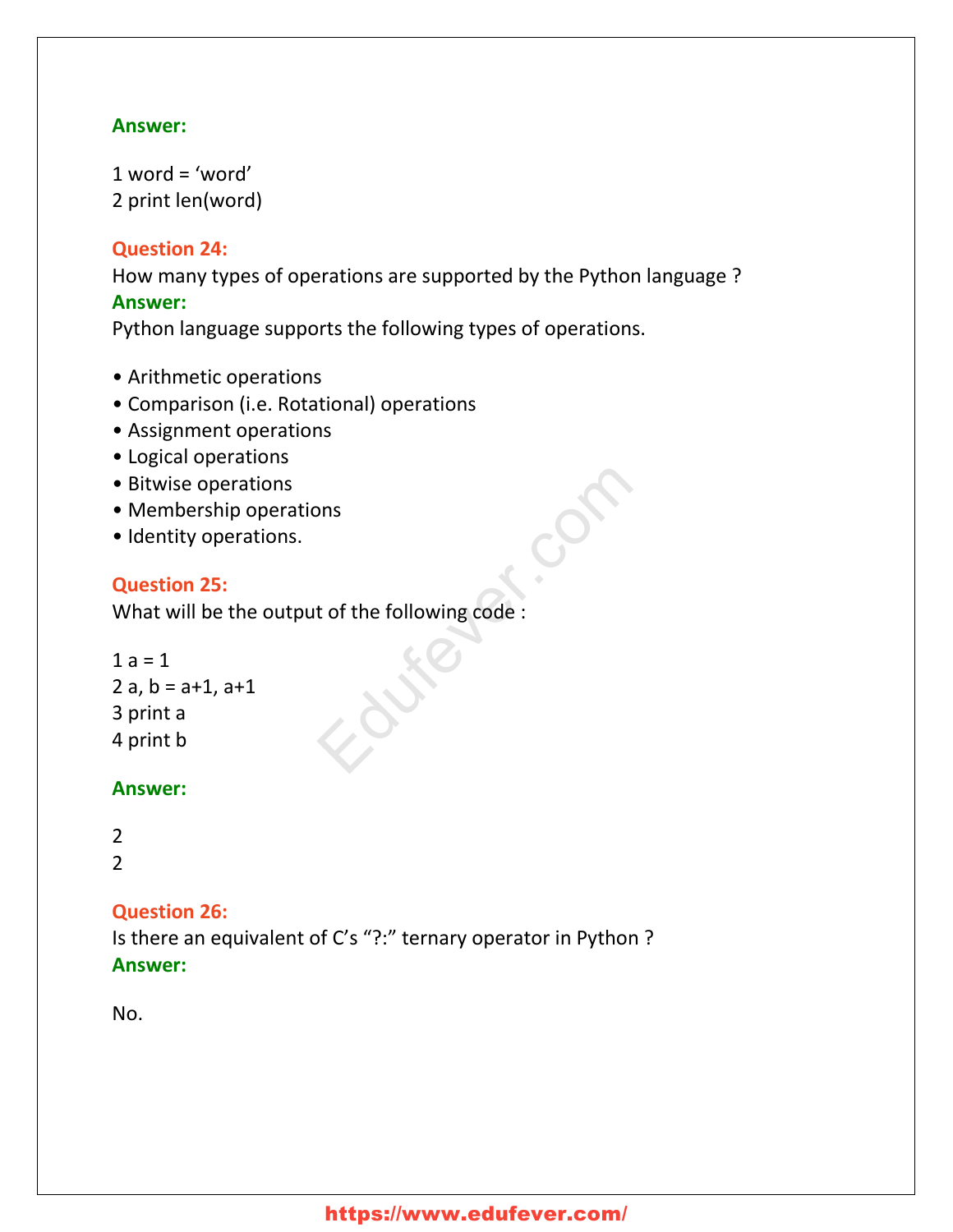#### **Answer:**

 $1$  word = 'word' 2 print len(word)

#### **Question 24:**

How many types of operations are supported by the Python language ? **Answer:**

Python language supports the following types of operations.

- Arithmetic operations
- Comparison (i.e. Rotational) operations
- Assignment operations
- Logical operations
- Bitwise operations
- Membership operations
- Identity operations.

#### **Question 25:**

What will be the output of the following code : ons<br>t of the following code :<br>experience :

```
1 a = 12 a, b = a + 1, a + 13 print a
4 print b
```
#### **Answer:**

```
2
2
```
#### **Question 26:**

Is there an equivalent of C's "?:" ternary operator in Python ? **Answer:**

No.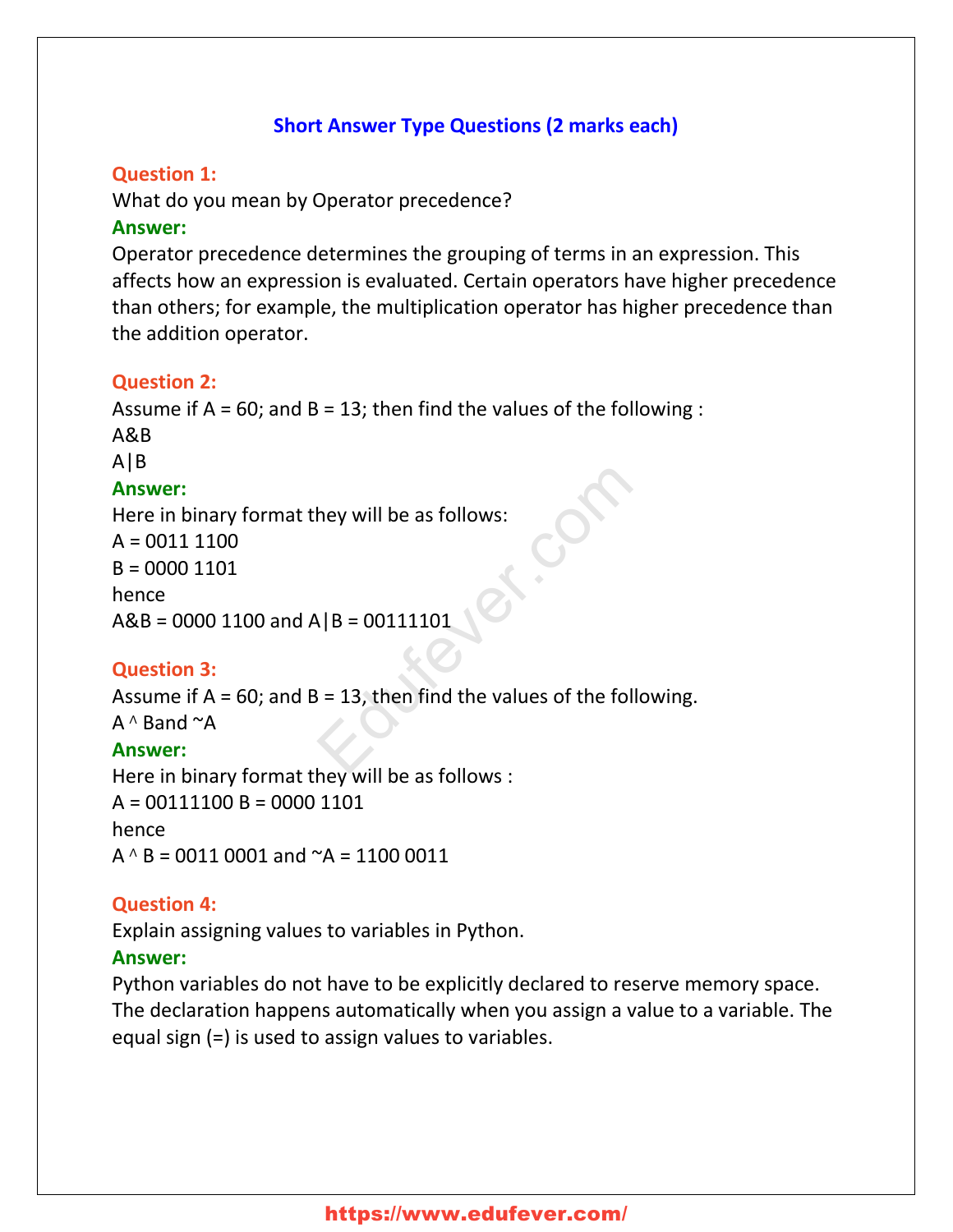#### **Short Answer Type Questions (2 marks each)**

#### **Question 1:**

What do you mean by Operator precedence?

#### **Answer:**

Operator precedence determines the grouping of terms in an expression. This affects how an expression is evaluated. Certain operators have higher precedence than others; for example, the multiplication operator has higher precedence than the addition operator.

#### **Question 2:**

Assume if  $A = 60$ ; and  $B = 13$ ; then find the values of the following : A&B A|B **Answer:** Here in binary format they will be as follows:  $A = 00111100$  $B = 00001101$ hence  $A&B = 00001100$  and  $A|B = 00111101$ hey will be as follows:<br> $\lambda |B = 00111101$ <br> $\lambda = 13$ , then find the values of the follow

#### **Question 3:**

Assume if  $A = 60$ ; and  $B = 13$ , then find the values of the following.

A <sup>∧</sup> Band ~A

#### **Answer:**

Here in binary format they will be as follows :  $A = 00111100 B = 00001101$ hence  $A \wedge B = 0011 0001$  and  $\sim A = 1100 0011$ 

#### **Question 4:**

Explain assigning values to variables in Python.

#### **Answer:**

Python variables do not have to be explicitly declared to reserve memory space. The declaration happens automatically when you assign a value to a variable. The equal sign (=) is used to assign values to variables.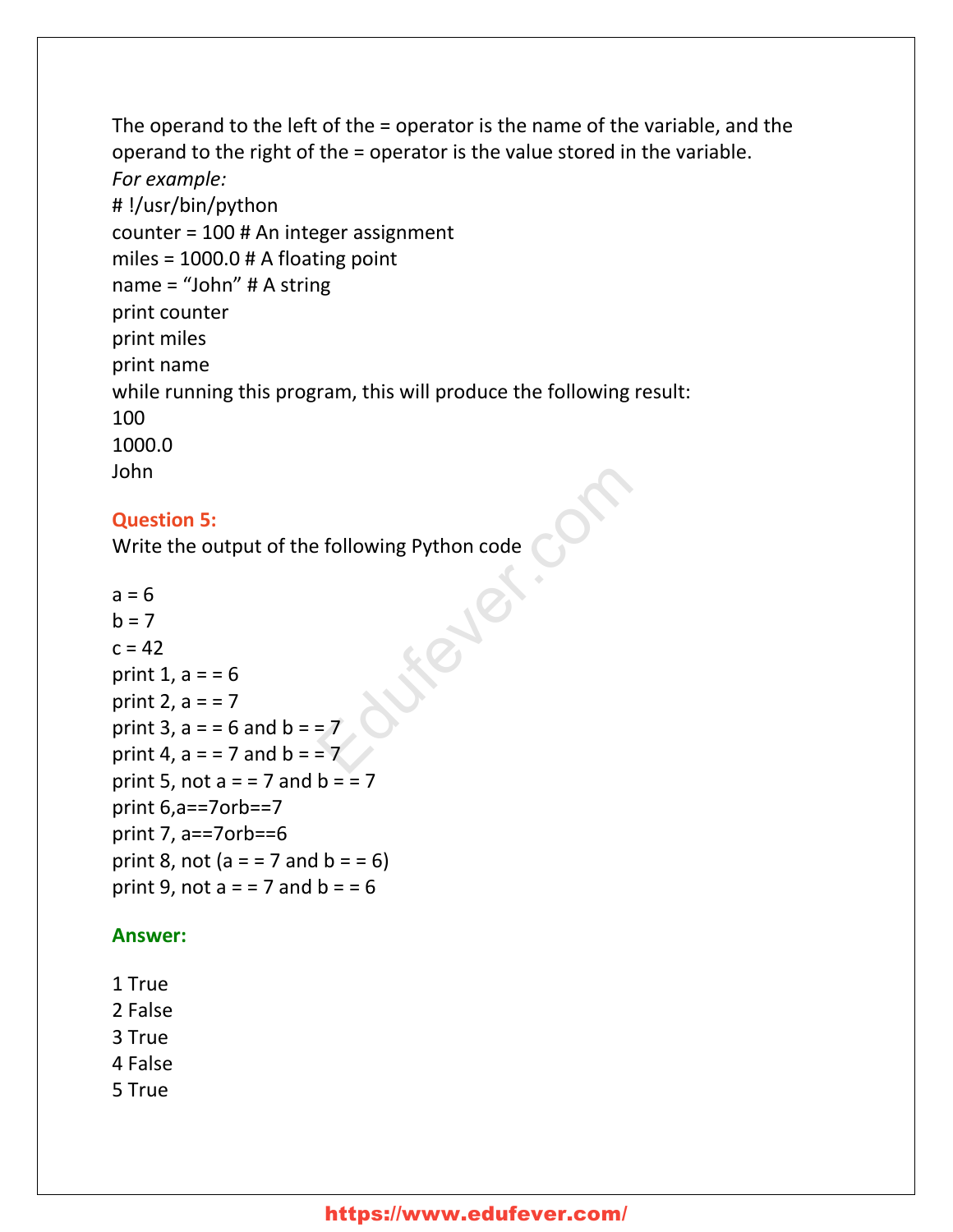The operand to the left of the = operator is the name of the variable, and the operand to the right of the = operator is the value stored in the variable. *For example:* # !/usr/bin/python counter = 100 # An integer assignment miles = 1000.0 # A floating point name = "John" # A string print counter print miles print name while running this program, this will produce the following result: 100 1000.0 John

#### **Question 5:**

Write the output of the following Python code

 $a = 6$  $h = 7$  $c = 42$ print 1,  $a = 6$ print 2,  $a = 7$ print 3,  $a = 6$  and  $b = 7$ print 4,  $a = 7$  and  $b = 7$ print 5, not  $a = 7$  and  $b = 7$ print 6,a==7orb==7 print 7, a==7orb==6 print 8, not ( $a = 7$  and  $b = 6$ ) print 9, not  $a = 7$  and  $b = 6$ Education Code<br>
Education Code<br>
Education<br>
Code<br>
Code<br>
Code<br>
Code<br>
Code<br>
Code<br>
Code<br>
Code<br>
Code<br>
Code<br>
Code<br>
Code<br>
Code<br>
Code<br>
Code<br>
Code<br>
Code<br>
Code<br>
Code<br>
Code<br>
Code<br>
Code<br>
Code<br>
Code<br>
Code<br>
Code<br>
Code<br>
Code<br>
Code<br>
Code<br>

#### **Answer:**

- 1 True
- 2 False
- 3 True
- 4 False
- 5 True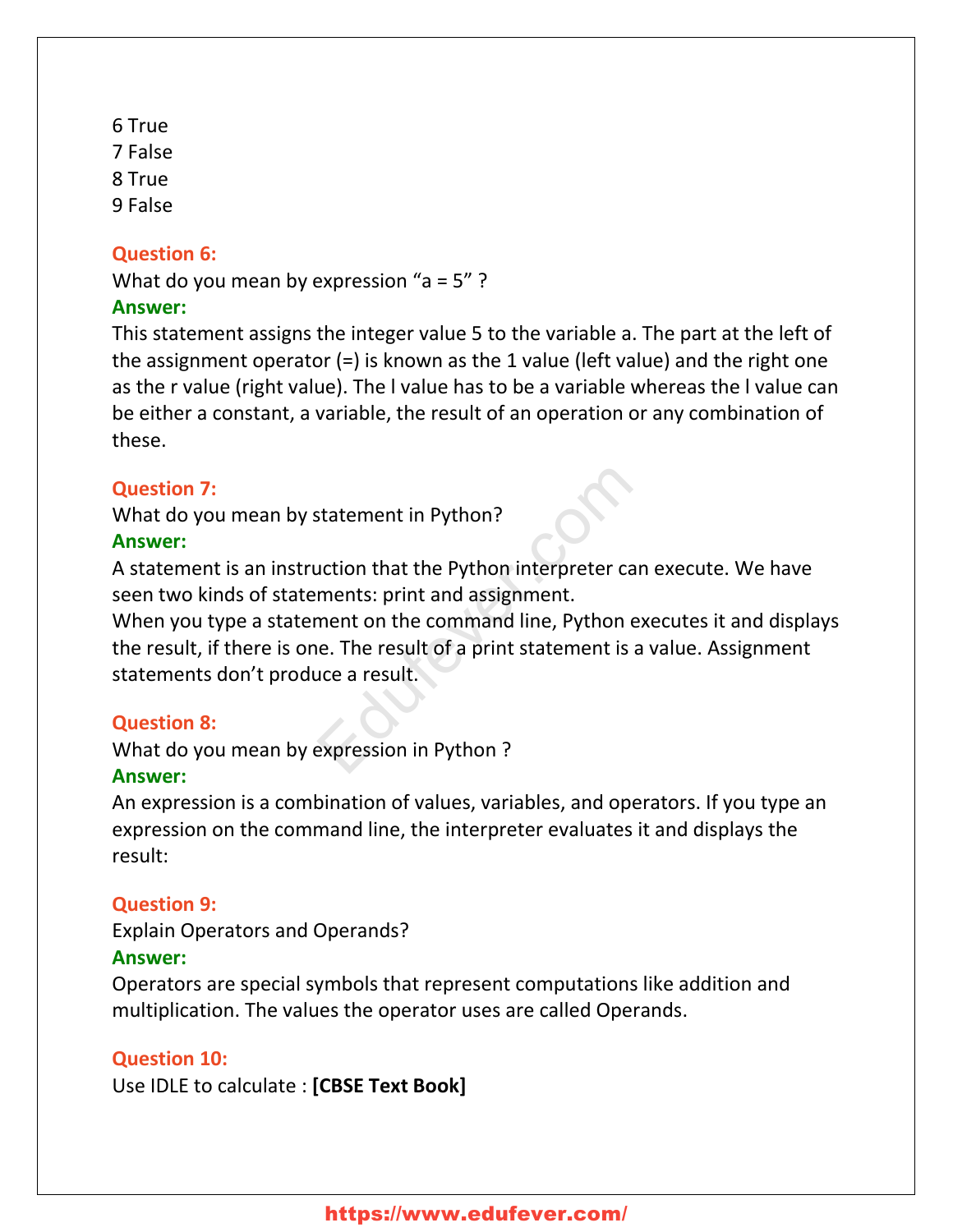6 True 7 False 8 True 9 False

#### **Question 6:**

What do you mean by expression "a =  $5"$  ?

#### **Answer:**

This statement assigns the integer value 5 to the variable a. The part at the left of the assignment operator (=) is known as the 1 value (left value) and the right one as the r value (right value). The l value has to be a variable whereas the l value can be either a constant, a variable, the result of an operation or any combination of these.

#### **Question 7:**

What do you mean by statement in Python?

#### **Answer:**

A statement is an instruction that the Python interpreter can execute. We have seen two kinds of statements: print and assignment.

When you type a statement on the command line, Python executes it and displays the result, if there is one. The result of a print statement is a value. Assignment statements don't produce a result. Statement in Python?<br>
Statement in Python interpreter can<br>
ments: print and assignment.<br>
ment on the command line, Python exence.<br>
The result of a print statement is a v<br>
statement is a v<br>
expression in Python ?

#### **Question 8:**

What do you mean by expression in Python ?

#### **Answer:**

An expression is a combination of values, variables, and operators. If you type an expression on the command line, the interpreter evaluates it and displays the result:

### **Question 9:**

Explain Operators and Operands?

#### **Answer:**

Operators are special symbols that represent computations like addition and multiplication. The values the operator uses are called Operands.

#### **Question 10:**

Use IDLE to calculate : **[CBSE Text Book]**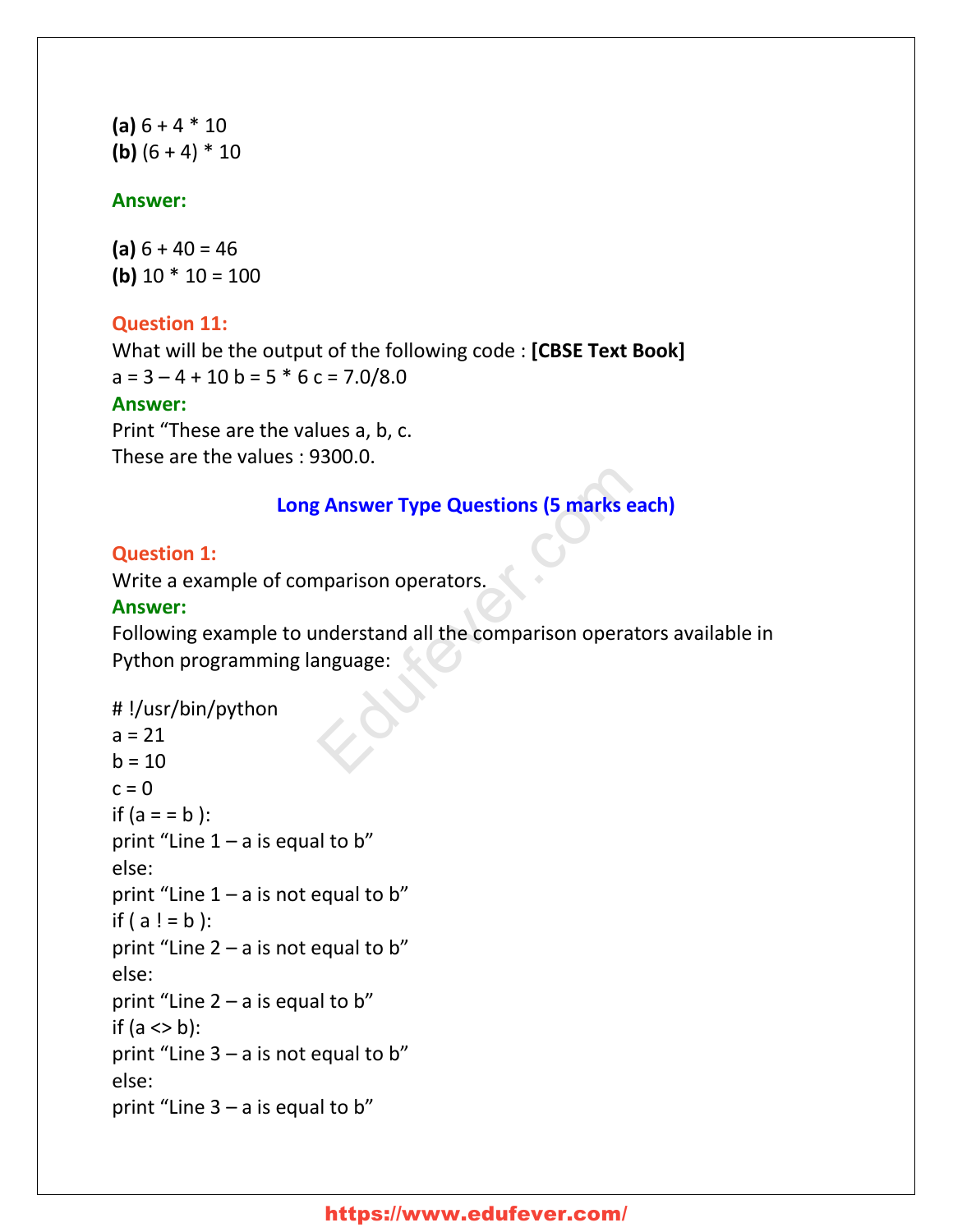**(a)** 6 + 4 \* 10 **(b)**  $(6 + 4) * 10$ 

#### **Answer:**

**(a)** 6 + 40 = 46 **(b)**  $10 * 10 = 100$ 

#### **Question 11:**

What will be the output of the following code : **[CBSE Text Book]**  $a = 3 - 4 + 10 b = 5 * 6 c = 7.0/8.0$ 

#### **Answer:**

Print "These are the values a, b, c. These are the values : 9300.0.

#### **Long Answer Type Questions (5 marks each)**

#### **Question 1:**

Write a example of comparison operators.

#### **Answer:**

Following example to understand all the comparison operators available in Python programming language: Example Type Questions (5 marks each<br>Aparison operators.<br>Examples:<br>Aparison operators anguage:

```
# !/usr/bin/python
a = 21
```

```
b = 10c = 0if (a = b):
print "Line 1 - a is equal to b"
else:
print "Line 1 - a is not equal to b"
if ( a ! = b ):
print "Line 2 – a is not equal to b"
else:
print "Line 2 - a is equal to b"
if (a \le b):
print "Line 3 – a is not equal to b"
else:
print "Line 3 - a is equal to b"
```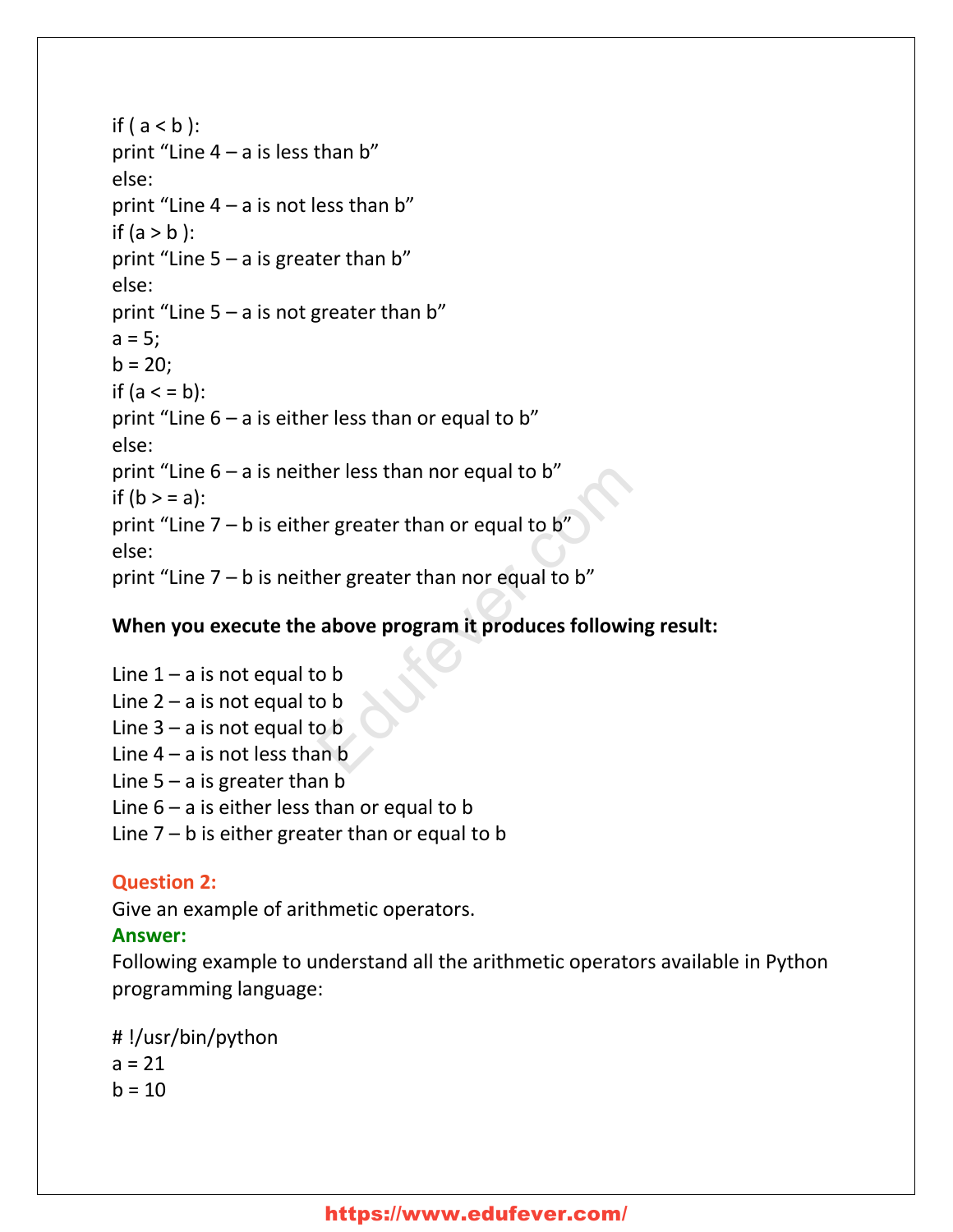if  $(a < b)$ : print "Line  $4 - a$  is less than b" else: print "Line  $4 - a$  is not less than b" if  $(a > b)$ : print "Line  $5 - a$  is greater than b" else: print "Line  $5 - a$  is not greater than b"  $a = 5;$  $b = 20;$ if  $(a < b)$ : print "Line  $6 - a$  is either less than or equal to b" else: print "Line  $6 - a$  is neither less than nor equal to b" if  $(b > = a)$ : print "Line  $7 - b$  is either greater than or equal to b" else: print "Line  $7 - b$  is neither greater than nor equal to b" Therefore than or equal to b"<br>
Therefore than or equal to b"<br>
Therefore than nor equal to b"<br> **above program it produces following**<br> **above program it produces following**<br> **o** b<br> **o** b<br> **o** b<br> **o** b<br> **o** b<br> **o** b

### **When you execute the above program it produces following result:**

Line  $1 - a$  is not equal to b Line  $2 - a$  is not equal to b Line  $3 - a$  is not equal to b Line  $4 - a$  is not less than b Line  $5 - a$  is greater than b Line  $6 - a$  is either less than or equal to b Line  $7 - b$  is either greater than or equal to b

### **Question 2:**

Give an example of arithmetic operators.

### **Answer:**

Following example to understand all the arithmetic operators available in Python programming language:

# !/usr/bin/python

 $a = 21$  $h = 10$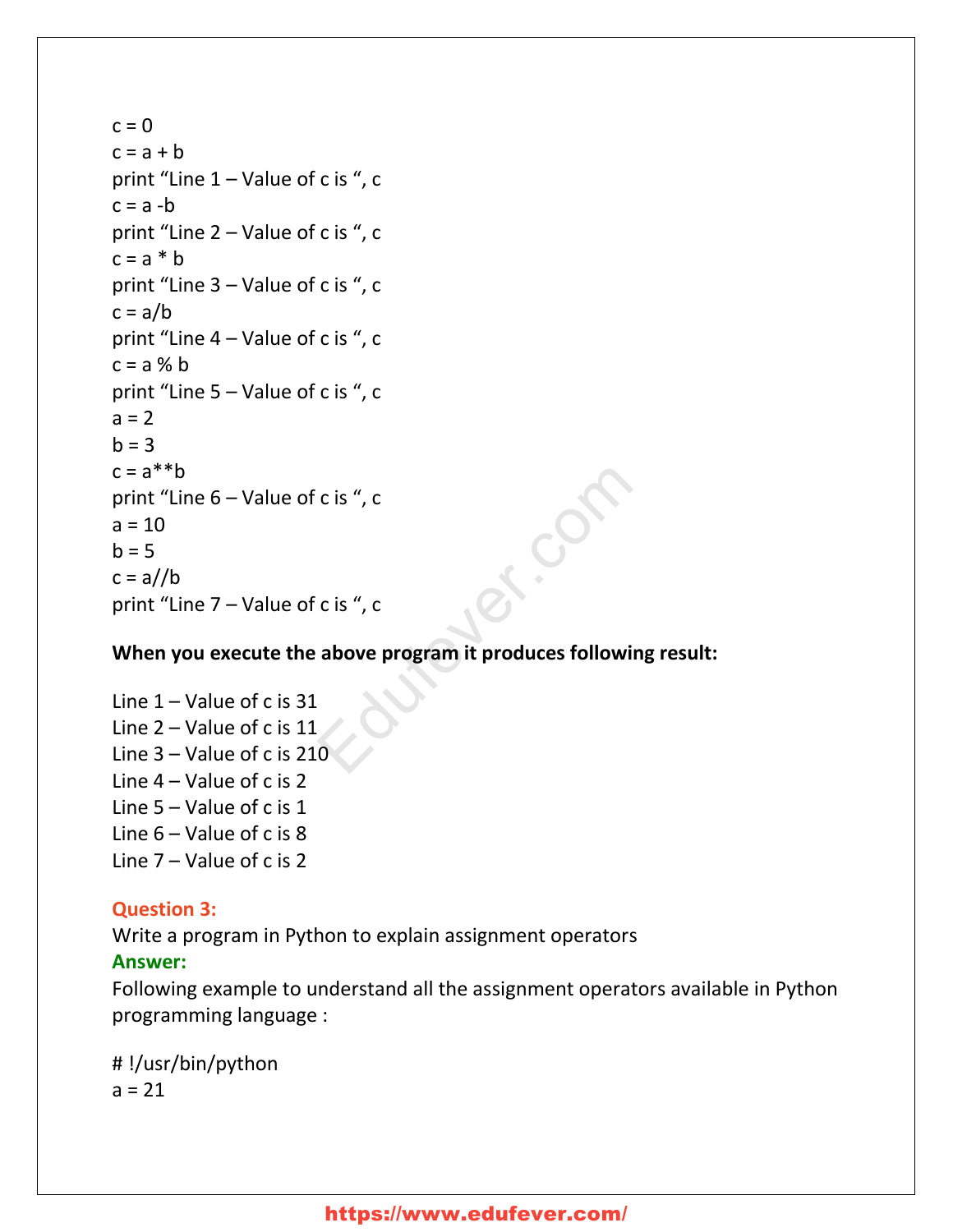$c = 0$  $c = a + b$ print "Line 1 – Value of c is ", c  $c = a - b$ print "Line 2 – Value of c is ", c  $c = a * b$ print "Line 3 – Value of c is ", c  $c = a/b$ print "Line 4 – Value of c is ", c  $c = a \times b$ print "Line 5 – Value of c is ", c  $a = 2$  $h = 3$  $c = a^{**}b$ print "Line 6 – Value of c is ", c  $a = 10$  $h = 5$  $c = a//b$ print "Line 7 – Value of c is ", c c is ", c<br>
c is ", c<br>
above program it produces following<br>
0

#### **When you execute the above program it produces following result:**

Line  $1 -$  Value of c is 31 Line 2 – Value of c is 11 Line 3 – Value of c is 210 Line 4 – Value of c is 2 Line 5 – Value of c is 1 Line  $6 -$  Value of c is 8 Line 7 – Value of c is 2

#### **Question 3:**

Write a program in Python to explain assignment operators

#### **Answer:**

Following example to understand all the assignment operators available in Python programming language :

# !/usr/bin/python  $a = 21$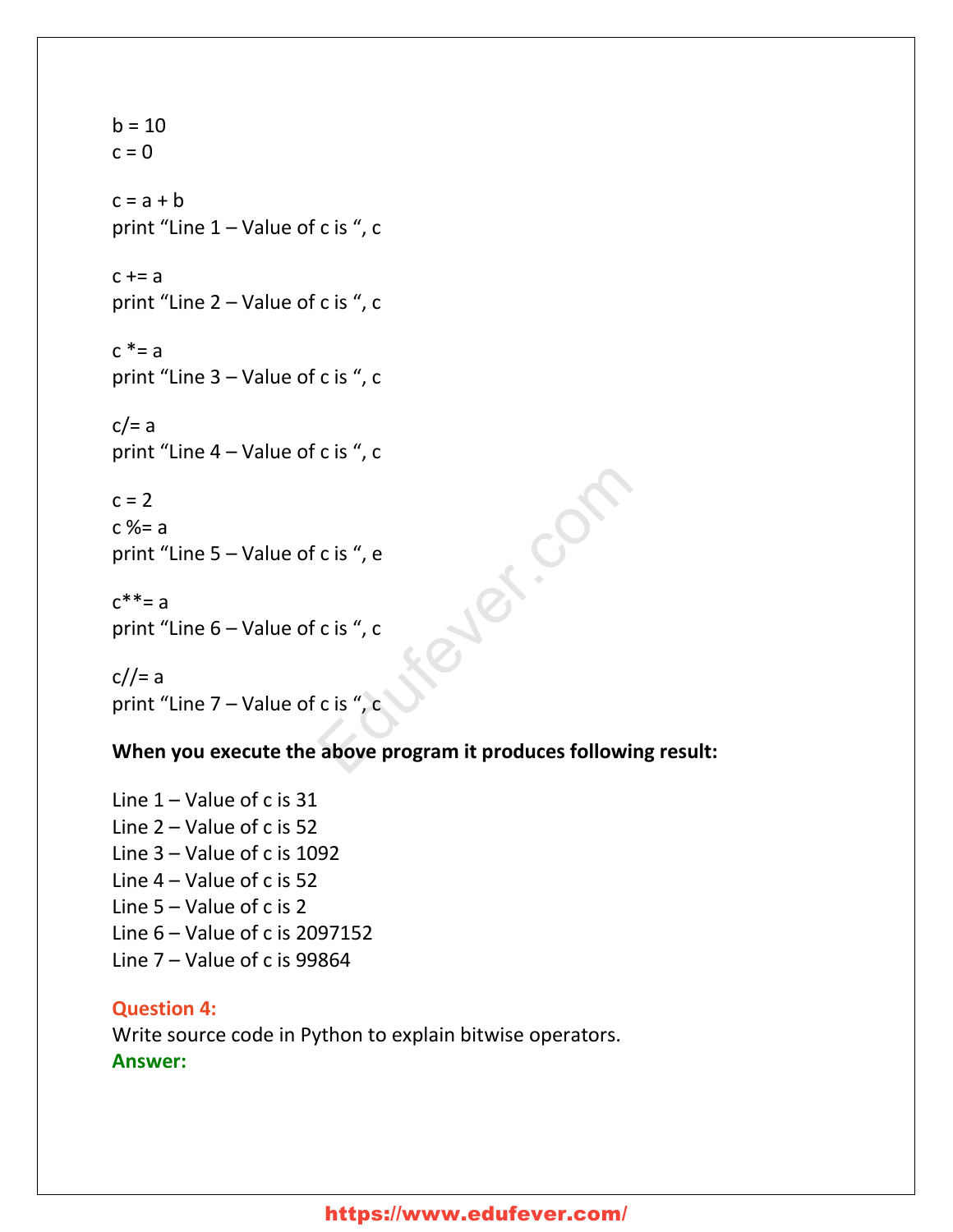$b = 10$  $c = 0$  $c = a + b$ print "Line 1 – Value of c is ", c  $c \div = a$ print "Line 2 – Value of c is ", c  $c^*$ = a print "Line 3 – Value of c is ", c  $c/=a$ print "Line 4 – Value of c is ", c  $c = 2$ Publis

 $c$  %= a print "Line 5 – Value of c is ", e

```
c^* = aprint "Line 6 – Value of c is ", c
```
 $c/|=a$ print "Line 7 – Value of c is ", c

#### **When you execute the above program it produces following result:**

Line  $1 -$  Value of c is 31 Line 2 – Value of c is 52 Line 3 – Value of c is 1092 Line 4 – Value of c is 52 Line 5 – Value of c is 2 Line 6 – Value of c is 2097152 Line  $7 -$  Value of c is 99864

#### **Question 4:**

Write source code in Python to explain bitwise operators. **Answer:**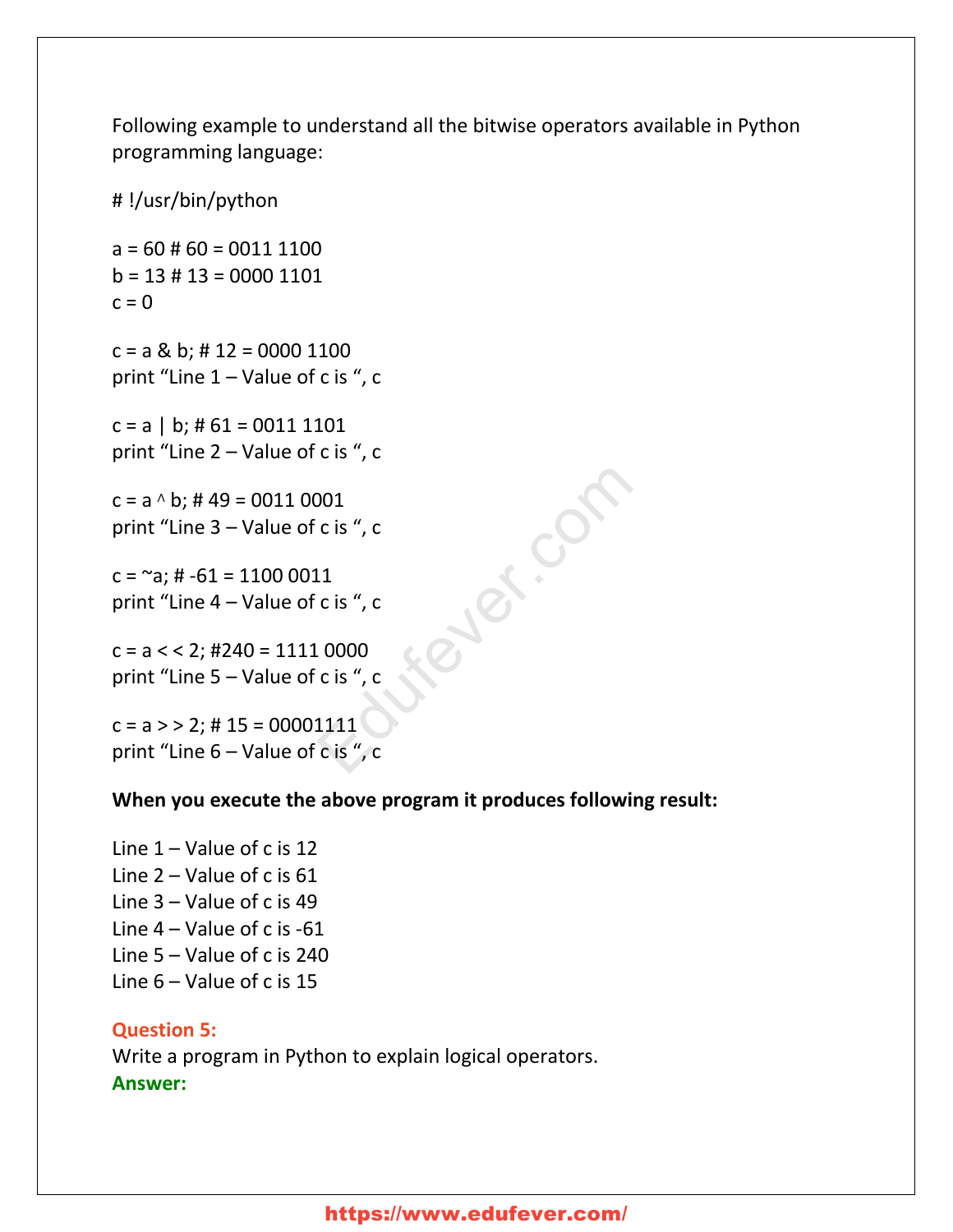Following example to understand all the bitwise operators available in Python programming language:

 $a = 60 \# 60 = 0011 1100$  $b = 13 \# 13 = 0000 1101$  $c = 0$ 

# !/usr/bin/python

 $c = a \& b$ ; # 12 = 0000 1100 print "Line 1 – Value of c is ", c

 $c = a \mid b$ ; # 61 = 0011 1101 print "Line 2 – Value of c is ", c

c = a <sup>∧</sup> b; # 49 = 0011 0001 print "Line 3 – Value of c is ", c

 $c = \infty$ ; #  $-61 = 11000011$ print "Line 4 – Value of c is ", c

 $c = a < 2$ ; #240 = 1111 0000 print "Line 5 – Value of c is ", c

 $c = a$  > > 2; # 15 = 00001111 print "Line 6 – Value of c is ", c

#### **When you execute the above program it produces following result:**

Let.com

Line  $1 -$  Value of c is 12 Line 2 – Value of c is 61 Line 3 – Value of c is 49 Line 4 – Value of c is -61 Line 5 – Value of c is 240 Line 6 – Value of c is 15

#### **Question 5:**

Write a program in Python to explain logical operators. **Answer:**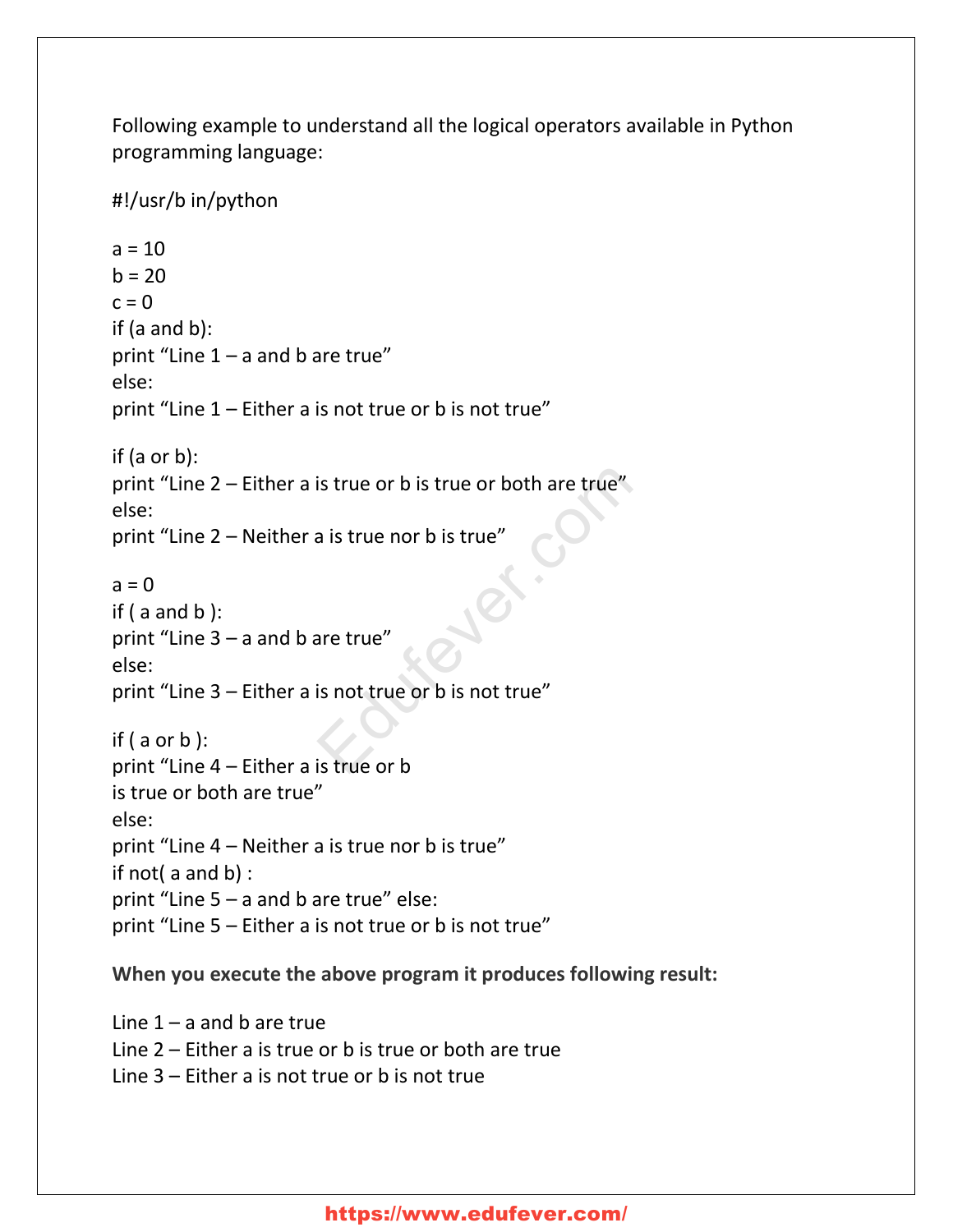Following example to understand all the logical operators available in Python programming language:

#!/usr/b in/python  $a = 10$  $b = 20$  $c = 0$ if (a and b): print "Line  $1 - a$  and b are true" else: print "Line 1 – Either a is not true or b is not true" if (a or b): print "Line 2 – Either a is true or b is true or both are true" else: print "Line 2 – Neither a is true nor b is true"  $a = 0$ if  $($  a and  $b$   $):$ print "Line 3 – a and b are true" else: print "Line 3 – Either a is not true or b is not true" if (  $a$  or  $b$  ): print "Line 4 – Either a is true or b is true or both are true" else: print "Line 4 – Neither a is true nor b is true" if not( a and b) : print "Line  $5 - a$  and b are true" else: print "Line 5 – Either a is not true or b is not true" is true or b is true or both are true"<br>
a is true nor b is true"<br>
are true"<br>
is not true or b is not true"<br>
is true or b

#### **When you execute the above program it produces following result:**

Line  $1 - a$  and b are true Line 2 – Either a is true or b is true or both are true Line 3 – Either a is not true or b is not true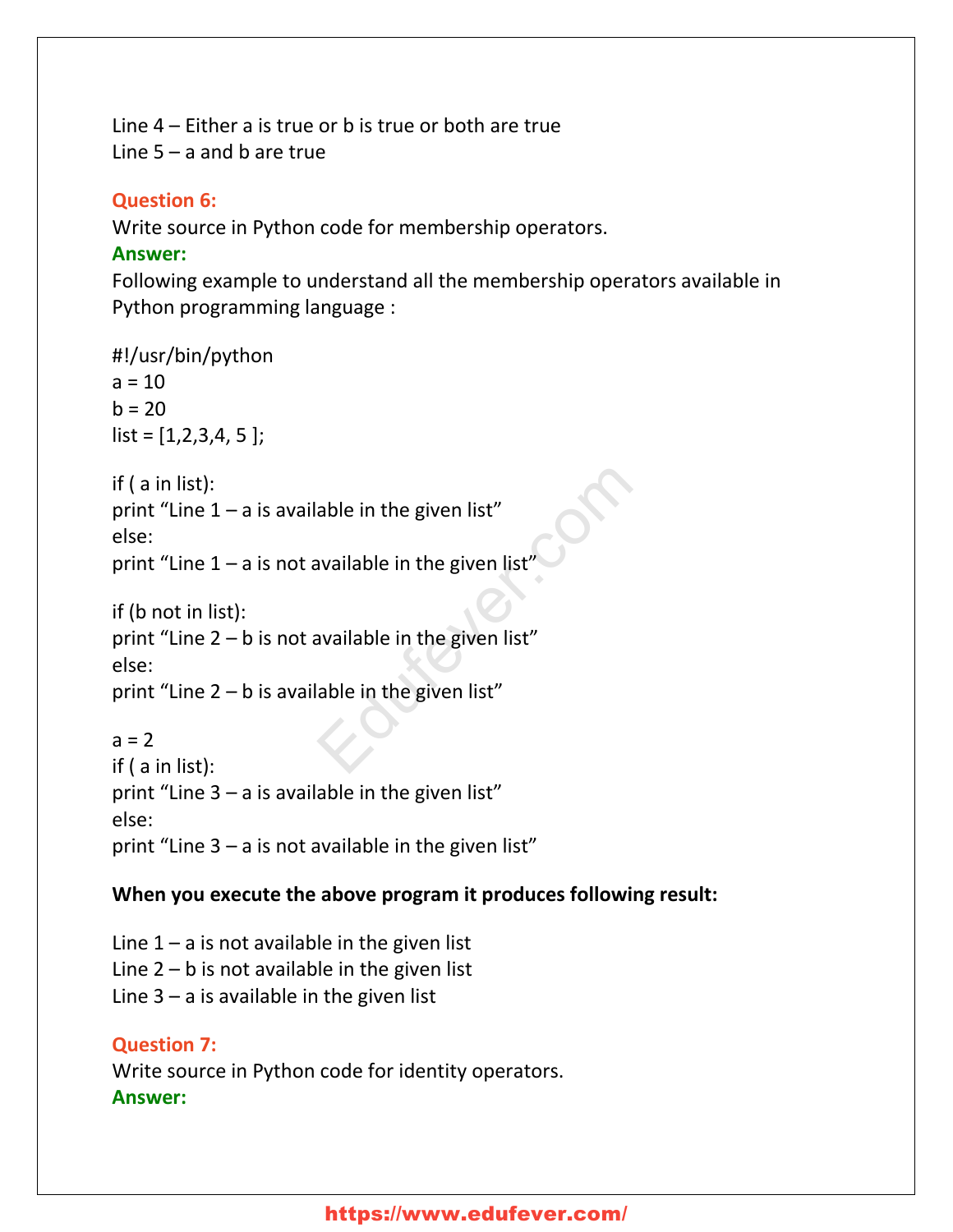Line 4 – Either a is true or b is true or both are true Line  $5 - a$  and b are true

#### **Question 6:**

Write source in Python code for membership operators.

#### **Answer:**

Following example to understand all the membership operators available in Python programming language :

```
#!/usr/bin/python
a = 10b = 20list = [1, 2, 3, 4, 5];
if ( a in list):
print "Line 1 - a is available in the given list"
else:
print "Line 1 - a is not available in the given list"
if (b not in list):
print "Line 2 – b is not available in the given list"
else:
print "Line 2 - b is available in the given list"
a = 2if ( a in list):
print "Line 3 - a is available in the given list"
else:
print "Line 3 - a is not available in the given list"
                               able in the given list"<br>
available in the given list"<br>
available in the given list"<br>
able in the given list"<br>
The given list"
```
#### **When you execute the above program it produces following result:**

Line  $1 - a$  is not available in the given list Line  $2 - b$  is not available in the given list Line  $3 - a$  is available in the given list

```
Question 7:
Write source in Python code for identity operators.
Answer:
```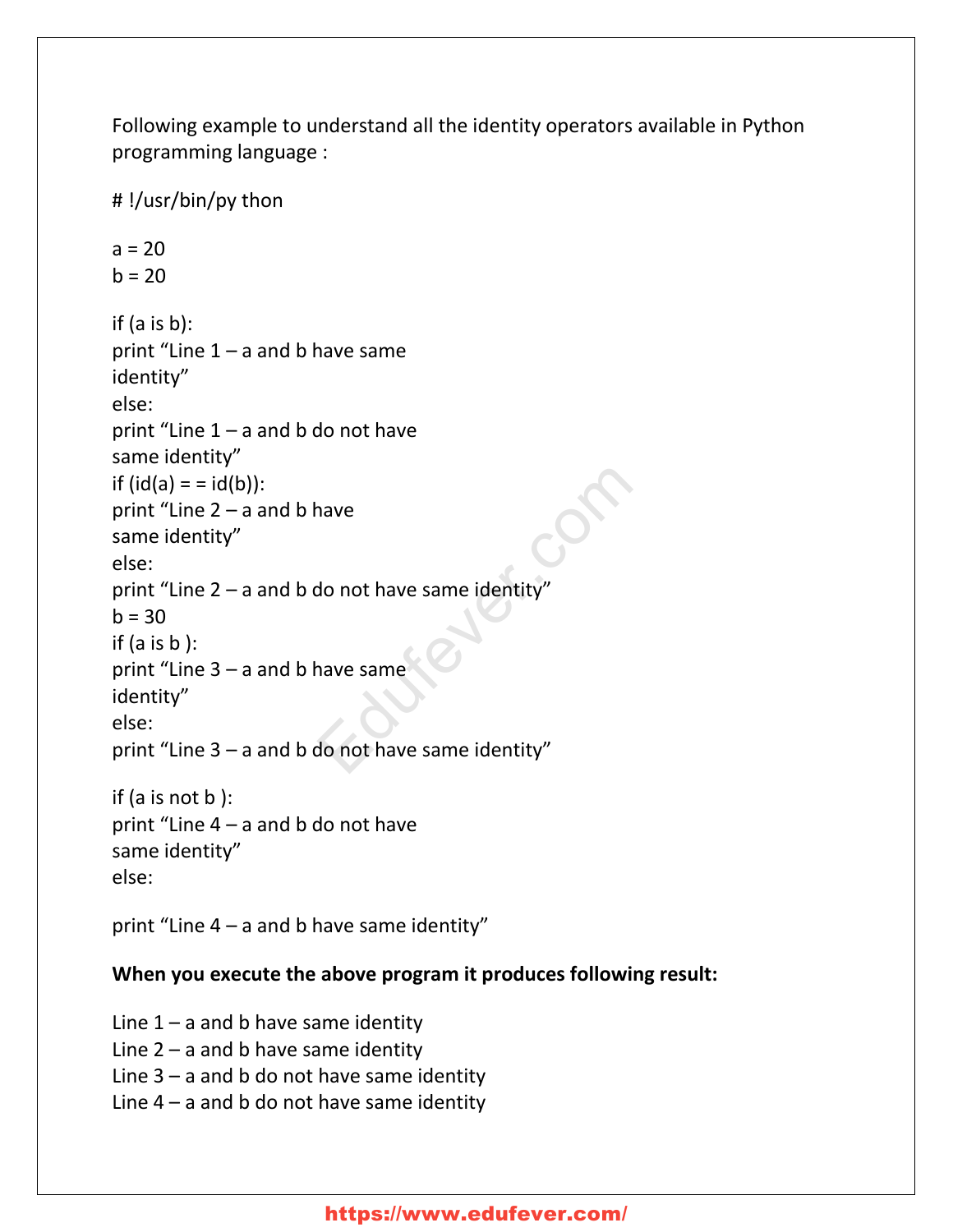Following example to understand all the identity operators available in Python programming language :

```
# !/usr/bin/py thon
a = 20h = 20if (a is b):
print "Line 1 - a and b have same
identity"
else:
print "Line 1 - a and b do not have
same identity"
if (id(a) = id(b)):
print "Line 2 – a and b have
same identity"
else:
print "Line 2 – a and b do not have same identity"
h = 30if (a is b):
print "Line 3 – a and b have same
identity"
else:
print "Line 3 – a and b do not have same identity"
if (a is not b ):
print "Line 4 – a and b do not have
same identity"
else:
                           Provide a same identity"<br>
The very same identity"<br>
The very same identity"<br>
The very same identity"
```
print "Line  $4 - a$  and b have same identity"

#### **When you execute the above program it produces following result:**

Line  $1 - a$  and b have same identity Line  $2 - a$  and b have same identity Line  $3 - a$  and b do not have same identity Line  $4 - a$  and b do not have same identity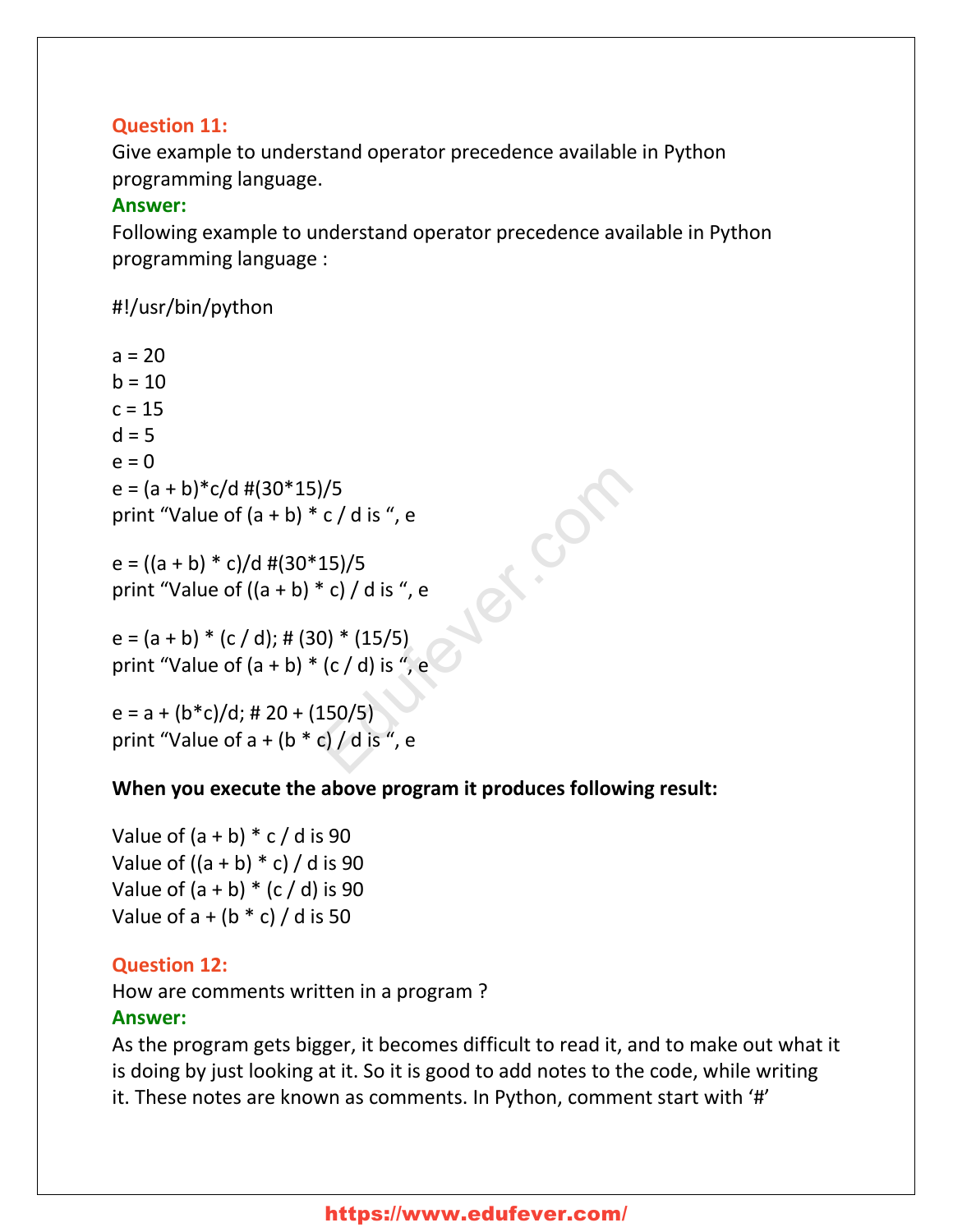#### **Question 11:**

Give example to understand operator precedence available in Python programming language.

#### **Answer:**

Following example to understand operator precedence available in Python programming language :

Education

#### #!/usr/bin/python

 $a = 20$  $h = 10$  $c = 15$  $d = 5$  $e = 0$  $e = (a + b)*c/d #(30*15)/5$ print "Value of  $(a + b) * c / d$  is ", e

e =  $((a + b) * c)/d$  #(30\*15)/5 print "Value of  $((a + b) * c) / d$  is ", e

 $e = (a + b) * (c / d);$  # (30) \* (15/5) print "Value of  $(a + b) * (c / d)$  is ", e

 $e = a + (b * c)/d$ ; # 20 + (150/5) print "Value of  $a + (b * c) / d$  is ", e

#### **When you execute the above program it produces following result:**

Value of  $(a + b) * c / d$  is 90 Value of  $((a + b) * c) / d$  is 90 Value of  $(a + b) * (c / d)$  is 90 Value of  $a + (b * c) / d$  is 50

#### **Question 12:**

How are comments written in a program ?

#### **Answer:**

As the program gets bigger, it becomes difficult to read it, and to make out what it is doing by just looking at it. So it is good to add notes to the code, while writing it. These notes are known as comments. In Python, comment start with '#'